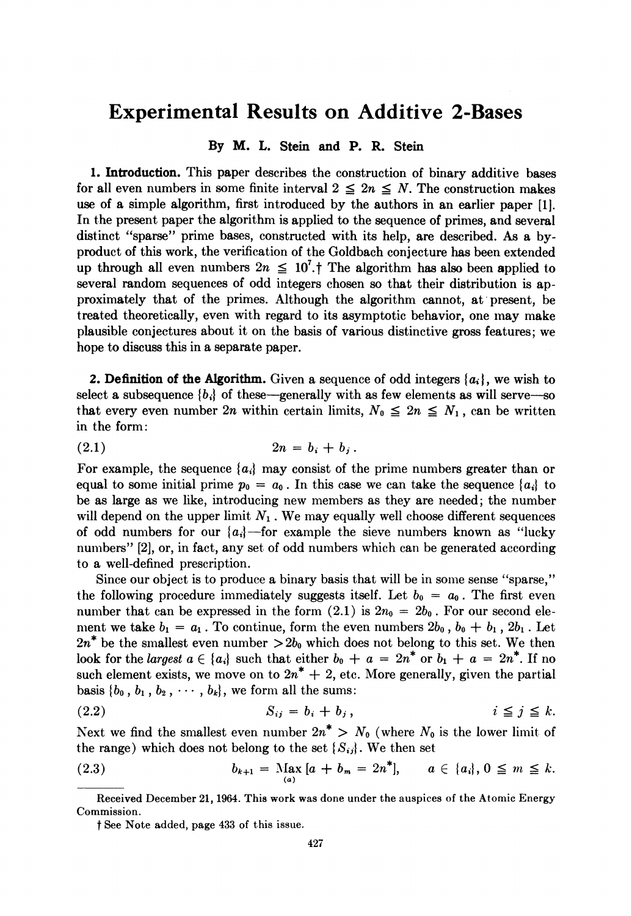## Experimental Results on Additive 2-Bases

## By M. L. Stein and P. R. Stein

1. Introduction. This paper describes the construction of binary additive bases for all even numbers in some finite interval  $2 \leq 2n \leq N$ . The construction makes use of a simple algorithm, first introduced by the authors in an earlier paper [1]. In the present paper the algorithm is applied to the sequence of primes, and several distinct "sparse" prime bases, constructed with its help, are described. As a byproduct of this work, the verification of the Goldbach conjecture has been extended up through all even numbers  $2n \leq 10^{7}$ . The algorithm has also been applied to several random sequences of odd integers chosen so that their distribution is approximately that of the primes. Although the algorithm cannot, at present, be treated theoretically, even with regard to its asymptotic behavior, one may make plausible conjectures about it on the basis of various distinctive gross features; we hope to discuss this in a separate paper.

2. Definition of the Algorithm. Given a sequence of odd integers  $\{a_i\}$ , we wish to select a subsequence  $\{b_i\}$  of these—generally with as few elements as will serve—so that every even number 2n within certain limits,  $N_0 \leq 2n \leq N_1$ , can be written in the form:

(2.1)  $2n = b_i + b_j$ .

For example, the sequence  ${a_i}$  may consist of the prime numbers greater than or equal to some initial prime  $p_0 = a_0$ . In this case we can take the sequence  $\{a_i\}$  to be as large as we like, introducing new members as they are needed; the number will depend on the upper limit  $N_1$ . We may equally well choose different sequences of odd numbers for our  $\{a_i\}$ —for example the sieve numbers known as "lucky numbers" [2], or, in fact, any set of odd numbers which can be generated according to a well-defined prescription.

Since our object is to produce a binary basis that will be in some sense "sparse," the following procedure immediately suggests itself. Let  $b_0 = a_0$ . The first even number that can be expressed in the form  $(2.1)$  is  $2n_0 = 2b_0$ . For our second element we take  $b_1 = a_1$ . To continue, form the even numbers  $2b_0$ ,  $b_0 + b_1$ ,  $2b_1$ . Let  $2n^*$  be the smallest even number  $>2b_0$  which does not belong to this set. We then look for the *largest*  $a \in \{a_i\}$  such that either  $b_0 + a = 2n^*$  or  $b_1 + a = 2n^*$ . If no such element exists, we move on to  $2n^* + 2$ , etc. More generally, given the partial basis  $\{b_0, b_1, b_2, \cdots, b_k\}$ , we form all the sums:

$$
(2.2) \t S_{ij} = b_i + b_j, \t i \leq j \leq k.
$$

Next we find the smallest even number  $2n^* > N_0$  (where  $N_0$  is the lower limit of the range) which does not belong to the set  $\{S_{ij}\}\)$ . We then set

(2.3) 
$$
b_{k+1} = \operatorname{Max}_{(a)} [a + b_m = 2n^*], \quad a \in \{a_i\}, 0 \leq m \leq k.
$$

Received December 21, 1964. This work was done under the auspices of the Atomic Energy Commission.

f See Note added, page 433 of this issue.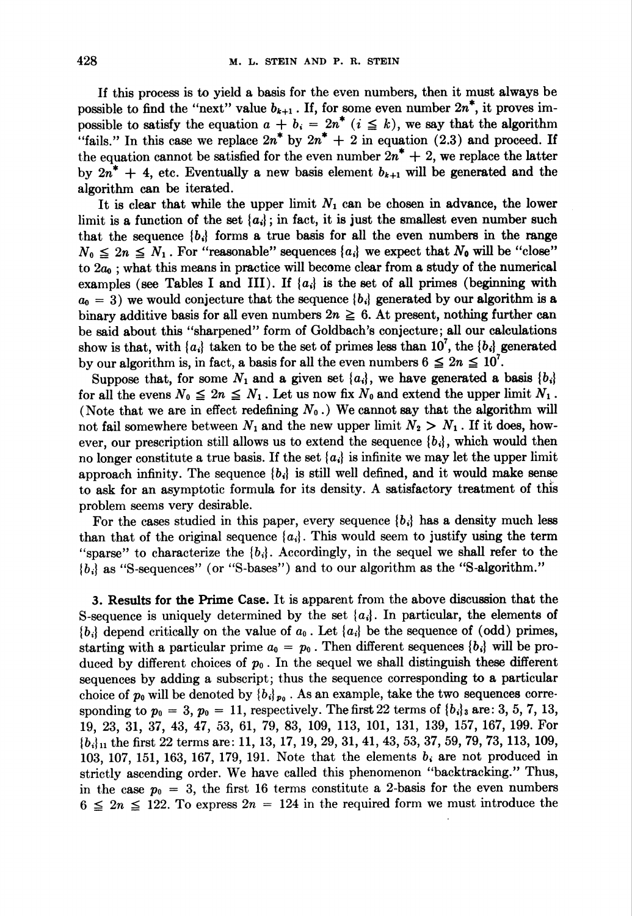If this process is to yield a basis for the even numbers, then it must always be possible to find the "next" value  $b_{k+1}$ . If, for some even number  $2n^*$ , it proves impossible to satisfy the equation  $a + b_i = 2n^*$   $(i \leq k)$ , we say that the algorithm "fails." In this case we replace  $2n^*$  by  $2n^* + 2$  in equation (2.3) and proceed. If the equation cannot be satisfied for the even number  $2n^* + 2$ , we replace the latter by  $2n^* + 4$ , etc. Eventually a new basis element  $b_{k+1}$  will be generated and the algorithm can be iterated.

It is clear that while the upper limit  $N_1$  can be chosen in advance, the lower limit is a function of the set  $\{a_i\}$ ; in fact, it is just the smallest even number such that the sequence  ${b_i}$  forms a true basis for all the even numbers in the range  $N_0 \leq 2n \leq N_1$ . For "reasonable" sequences {a<sub>i</sub>} we expect that  $N_0$  will be "close" to  $2a_0$ ; what this means in practice will become clear from a study of the numerical examples (see Tables I and III). If  $\{a_i\}$  is the set of all primes (beginning with  $a_0 = 3$ ) we would conjecture that the sequence  $\{b_i\}$  generated by our algorithm is a binary additive basis for all even numbers  $2n \geq 6$ . At present, nothing further can be said about this "sharpened" form of Goldbach 's conjecture; all our calculations show is that, with  ${a_i}$  taken to be the set of primes less than  $10^7$ , the  ${b_i}$  generated by our algorithm is, in fact, a basis for all the even numbers  $6 \leq 2n \leq 10'$ .

Suppose that, for some  $N_1$  and a given set  $\{a_i\}$ , we have generated a basis  $\{b_i\}$ for all the evens  $N_0 \leq 2n \leq N_1$ . Let us now fix  $N_0$  and extend the upper limit  $N_1$ . (Note that we are in effect redefining  $N_0$ .) We cannot say that the algorithm will not fail somewhere between  $N_1$  and the new upper limit  $N_2 > N_1$ . If it does, however, our prescription still allows us to extend the sequence  $\{b_i\}$ , which would then no longer constitute a true basis. If the set  $\{a_i\}$  is infinite we may let the upper limit approach infinity. The sequence  ${b_i}$  is still well defined, and it would make sense to ask for an asymptotic formula for its density. A satisfactory treatment of this problem seems very desirable.

For the cases studied in this paper, every sequence  $\{b_i\}$  has a density much less than that of the original sequence  ${a_i}$ . This would seem to justify using the term "sparse" to characterize the  ${b_i}$ . Accordingly, in the sequel we shall refer to the ( bi} as "S-sequences" (or "S-bases") and to our algorithm as the "S-algorithm."

3. Results for the Prime Case. It is apparent from the above discussion that the S-sequence is uniquely determined by the set  $\{a_i\}$ . In particular, the elements of  $\{b_i\}$  depend critically on the value of  $a_0$ . Let  $\{a_i\}$  be the sequence of (odd) primes, starting with a particular prime  $a_0 = p_0$ . Then different sequences  $\{b_i\}$  will be produced by different choices of  $p_0$ . In the sequel we shall distinguish these different sequences by adding a subscript; thus the sequence corresponding to a particular choice of  $p_0$  will be denoted by  ${b_i}_{p_0}$ . As an example, take the two sequences corresponding to  $p_0 = 3$ ,  $p_0 = 11$ , respectively. The first 22 terms of  ${b_i}_3$  are: 3, 5, 7, 13, 19, 23, 31, 37, 43, 47, 53, 61, 79, 83, 109, 113, 101, 131, 139, 157, 167, 199. For  ${b_i}_1$  the first 22 terms are: 11, 13, 17, 19, 29, 31, 41, 43, 53, 37, 59, 79, 73, 113, 109, 103, 107, 151, 163, 167, 179, 191. Note that the elements  $b_i$  are not produced in strictly ascending order. We have called this phenomenon "backtracking." Thus, in the case  $p_0 = 3$ , the first 16 terms constitute a 2-basis for the even numbers  $6 \leq 2n \leq 122$ . To express  $2n = 124$  in the required form we must introduce the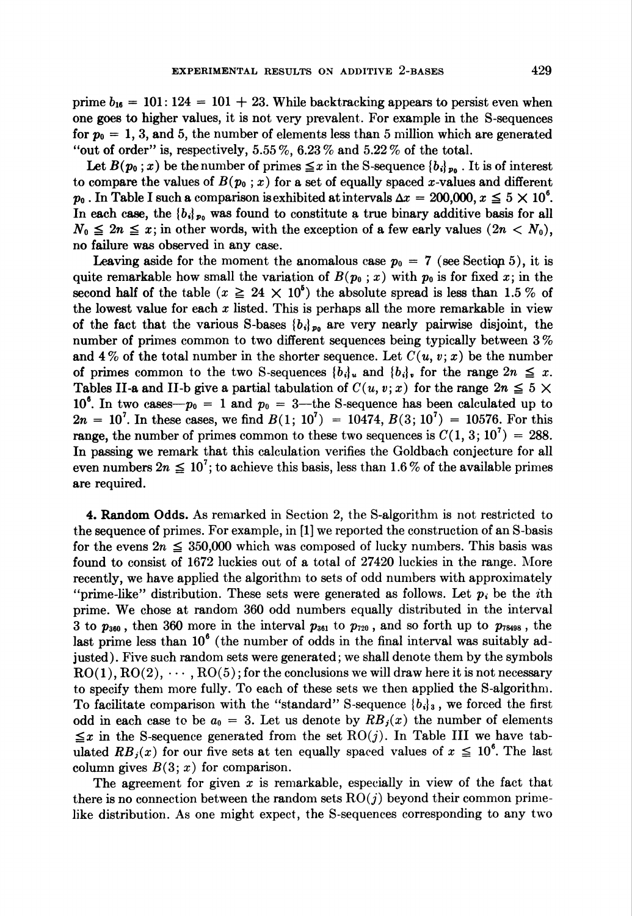prime  $b_{16} = 101: 124 = 101 + 23$ . While backtracking appears to persist even when one goes to higher values, it is not very prevalent. For example in the S-sequences for  $p_0 = 1, 3$ , and 5, the number of elements less than 5 million which are generated "out of order" is, respectively,  $5.55\%$ ,  $6.23\%$  and  $5.22\%$  of the total.

Let  $B(p_0; x)$  be the number of primes  $\leq x$  in the S-sequence  ${b_i}_{p_0}$ . It is of interest to compare the values of  $B(p_0; x)$  for a set of equally spaced x-values and different  $p_0$ . In Table I such a comparison is exhibited at intervals  $\Delta x = 200,000$ ,  $x \le 5 \times 10^6$ . In each case, the  ${b_i}_{p_0}$  was found to constitute a true binary additive basis for all  $N_0 \leq 2n \leq x$ ; in other words, with the exception of a few early values  $(2n < N_0)$ , no failure was observed in any case.

**Leaving aside for the moment the anomalous case**  $p_0 = 7$  **(see Section 5), it is** quite remarkable how small the variation of  $B(p_0; x)$  with  $p_0$  is for fixed x; in the second half of the table  $(x \geq 24 \times 10^6)$  the absolute spread is less than 1.5 % of the lowest value for each  $x$  listed. This is perhaps all the more remarkable in view of the fact that the various S-bases  ${b_i}_{p_0}$  are very nearly pairwise disjoint, the number of primes common to two different sequences being typically between 3 % and 4% of the total number in the shorter sequence. Let  $C(u, v; x)$  be the number of primes common to the two S-sequences  ${b_i}_i$  and  ${b_i}_i$ , for the range  $2n \leq x$ . Tables II-a and II-b give a partial tabulation of  $C(u, v; x)$  for the range  $2n \leq 5 \times$  $10<sup>6</sup>$ . In two cases— $p_0 = 1$  and  $p_0 = 3$ —the S-sequence has been calculated up to  $2n = 10<sup>7</sup>$ . In these cases, we find  $B(1; 10<sup>7</sup>) = 10474$ ,  $B(3; 10<sup>7</sup>) = 10576$ . For this range, the number of primes common to these two sequences is  $C(1, 3; 10^7) = 288$ . In passing we remark that this calculation verifies the Goldbach conjecture for all even numbers  $2n \leq 10^7$ ; to achieve this basis, less than 1.6% of the available primes are required.

4. Random Odds. As remarked in Section 2, the S-algorithm is not restricted to the sequence of primes. For example, in [1] we reported the construction of an S-basis for the evens  $2n \leq 350,000$  which was composed of lucky numbers. This basis was found to consist of 1672 luckies out of a total of 27420 luckies in the range. More recently, we have applied the algorithm to sets of odd numbers with approximately "prime-like" distribution. These sets were generated as follows. Let  $p_i$  be the *i*th prime. We chose at random 360 odd numbers equally distributed in the interval 3 to  $p_{360}$ , then 360 more in the interval  $p_{361}$  to  $p_{720}$ , and so forth up to  $p_{78498}$ , the last prime less than  $10^6$  (the number of odds in the final interval was suitably adjusted). Five such random sets were generated; we shall denote them by the symbols  $RO(1), RO(2), \cdots, RO(5)$ ; for the conclusions we will draw here it is not necessary to specify them more fully. To each of these sets we then applied the S-algorithm. To facilitate comparison with the "standard" S-sequence  $\{b_i\}_3$ , we forced the first odd in each case to be  $a_0 = 3$ . Let us denote by  $RB_j(x)$  the number of elements  $\leq x$  in the S-sequence generated from the set RO(j). In Table III we have tabulated  $RB_j(x)$  for our five sets at ten equally spaced values of  $x \le 10^6$ . The last column gives  $B(3; x)$  for comparison.

The agreement for given x is remarkable, especially in view of the fact that there is no connection between the random sets  $RO(j)$  beyond their common primelike distribution. As one might expect, the S-sequences corresponding to any two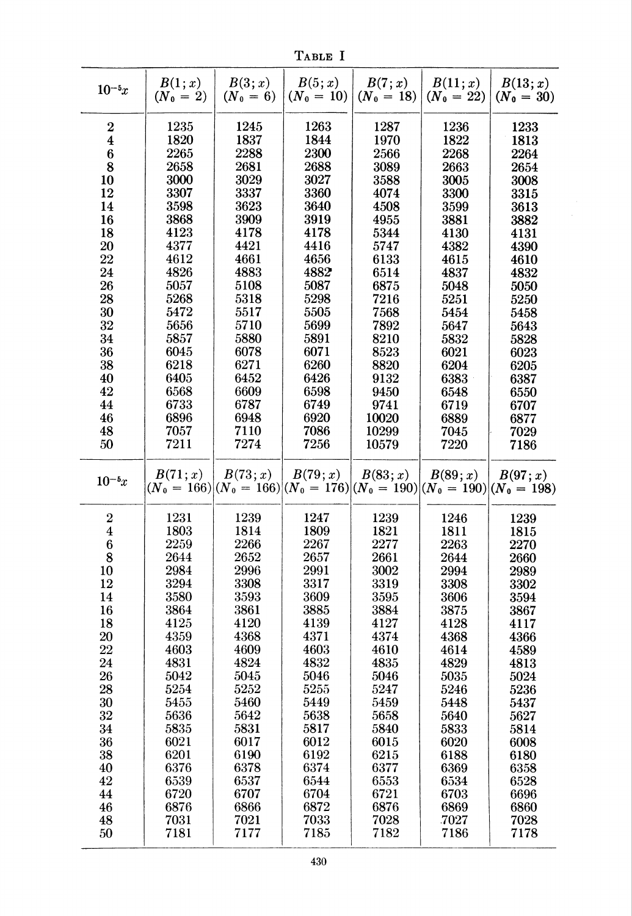Table I

| $10^{-5}x$       | B(1;x)<br>$(N_0 = 2)$ | B(3; x)<br>$(N_0 = 6)$ | B(5; x)<br>$(N_0 = 10)$ | B(7; x)<br>$(N_0 = 18)$                                                               | B(11; x)<br>$(N_0 = 22)$ | B(13; x)<br>$(N_0 = 30)$ |
|------------------|-----------------------|------------------------|-------------------------|---------------------------------------------------------------------------------------|--------------------------|--------------------------|
| $\boldsymbol{2}$ | 1235                  | 1245                   | 1263                    | 1287                                                                                  | 1236                     | 1233                     |
| 4                | 1820                  | 1837                   | 1844                    | 1970                                                                                  | 1822                     | 1813                     |
| 6                | 2265                  | 2288                   | 2300                    | 2566                                                                                  | 2268                     | 2264                     |
| 8                | 2658                  | 2681                   | 2688                    | 3089                                                                                  | 2663                     | 2654                     |
| 10               | 3000                  | 3029                   | 3027                    | 3588                                                                                  | 3005                     | 3008                     |
| 12               | 3307                  | 3337                   | 3360                    | 4074                                                                                  | 3300                     | 3315                     |
| 14               | 3598                  | 3623                   | 3640                    | 4508                                                                                  | 3599                     | 3613                     |
| 16               | 3868                  | 3909                   | 3919                    | 4955                                                                                  | 3881                     | 3882                     |
| 18               | 4123                  | 4178                   | 4178                    | 5344                                                                                  | 4130                     | 4131                     |
| 20               | 4377                  | 4421                   | 4416                    | 5747                                                                                  | 4382                     | 4390                     |
| 22               | 4612                  | 4661                   | 4656                    | 6133                                                                                  | 4615                     | 4610                     |
| 24               | 4826                  | 4883                   | 4882                    | 6514                                                                                  | 4837                     | 4832                     |
| 26               | 5057                  | 5108                   | 5087                    | 6875                                                                                  | 5048                     | 5050                     |
| 28               | 5268                  | 5318                   | 5298                    | 7216                                                                                  | 5251                     | 5250                     |
| 30               | 5472                  | 5517                   | 5505                    | 7568                                                                                  | 5454                     | 5458                     |
| 32               | 5656                  | 5710                   | 5699                    | 7892                                                                                  | 5647                     | 5643                     |
| 34               | 5857                  | 5880                   | 5891                    | 8210                                                                                  | 5832                     | 5828                     |
| 36               | 6045                  | 6078                   | 6071                    | 8523                                                                                  | 6021                     | 6023                     |
| 38               | 6218                  | 6271                   | 6260                    | 8820                                                                                  | 6204                     | 6205                     |
| 40               | 6405                  | 6452                   | 6426                    | 9132                                                                                  | 6383                     | 6387                     |
| 42               | 6568                  | 6609                   | 6598                    | 9450                                                                                  | 6548                     | 6550                     |
| 44               | 6733                  | 6787                   | 6749                    | 9741                                                                                  | 6719                     | 6707                     |
| 46               | 6896                  | 6948                   | 6920                    | 10020                                                                                 | 6889                     | 6877                     |
| 48               | 7057                  | 7110                   | 7086                    | 10299                                                                                 | 7045                     | 7029                     |
| 50               | 7211                  | 7274                   | 7256                    | 10579                                                                                 | 7220                     | 7186                     |
| $10^{-5}x$       | B(71; x)              | B(73; x)               | B(79; x)                | B(83; x)<br>$(N_0 = 166) (N_0 = 166) (N_0 = 176) (N_0 = 190) (N_0 = 190) (N_0 = 198)$ | B(89; x)                 | B(97; x)                 |
| $\boldsymbol{2}$ | 1231                  | 1239                   | 1247                    | 1239                                                                                  | 1246                     |                          |
| $\boldsymbol{4}$ | 1803                  | 1814                   | 1809                    | 1821                                                                                  | 1811                     | 1239<br>1815             |
| 6                | 2259                  | 2266                   | 2267                    | 2277                                                                                  | 2263                     | 2270                     |
| 8                | 2644                  | 2652                   | 2657                    | 2661                                                                                  | 2644                     | 2660                     |
| $10\,$           | 2984                  | 2996                   | 2991                    | 3002                                                                                  | 2994                     | 2989                     |
| 12               | 3294                  | 3308                   | 3317                    | 3319                                                                                  | 3308                     | 3302                     |
| 14               | 3580                  | 3593                   | 3609                    | 3595                                                                                  | 3606                     | 3594                     |
| 16               | 3864                  | 3861                   | 3885                    | 3884                                                                                  | 3875                     | 3867                     |
| 18               | 4125                  | 4120                   | 4139                    | 4127                                                                                  | 4128                     | 4117                     |
| 20               | 4359                  | 4368                   | 4371                    | 4374                                                                                  | 4368                     | 4366                     |
| 22               | 4603                  | 4609                   | 4603                    | 4610                                                                                  | 4614                     | 4589                     |
| 24               | 4831                  | 4824                   | 4832                    | 4835                                                                                  | 4829                     | 4813                     |
| 26               | 5042                  | 5045                   | 5046                    | 5046                                                                                  | 5035                     | 5024                     |
| 28               | 5254                  | 5252                   | 5255                    | 5247                                                                                  | 5246                     | 5236                     |
| 30               | 5455                  | 5460                   | 5449                    | 5459                                                                                  | 5448                     | 5437                     |
| 32               | 5636                  | 5642                   | 5638                    | 5658                                                                                  | 5640                     | 5627                     |
| 34               | 5835                  | 5831                   | 5817                    | 5840                                                                                  | 5833                     | 5814                     |
| 36               | 6021                  | 6017                   | 6012                    | 6015                                                                                  | 6020                     | 6008                     |
| 38               | 6201                  | 6190                   | 6192                    | 6215                                                                                  | 6188                     | 6180                     |
| 40               | 6376                  | 6378                   | 6374                    | 6377                                                                                  | 6369                     | 6358                     |
| 42               | 6539                  | 6537                   | 6544                    | 6553                                                                                  | 6534                     | 6528                     |
| 44               | 6720                  | 6707                   | 6704                    | 6721                                                                                  | 6703                     | 6696                     |
| 46               | 6876                  | 6866                   | 6872                    | 6876                                                                                  | 6869                     | 6860                     |
| 48               | 7031                  | 7021                   | 7033                    | 7028                                                                                  | .7027                    | 7028                     |
| 50               | 7181                  | 7177                   | 7185                    | 7182                                                                                  | 7186                     | 7178                     |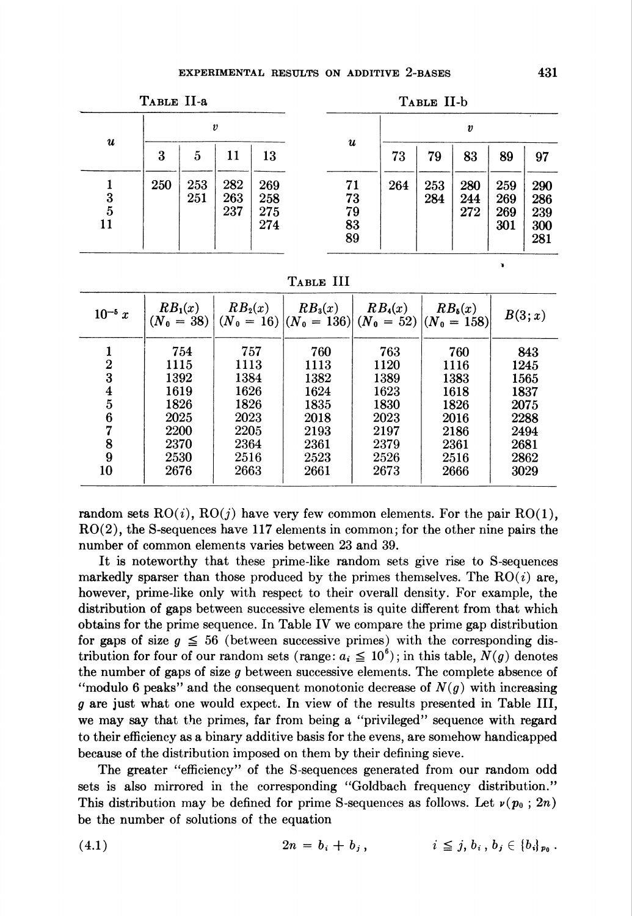| TABLE II-a                |                  |            | TABLE II-b        |                          |                            |     |            |                   |                          |                                 |
|---------------------------|------------------|------------|-------------------|--------------------------|----------------------------|-----|------------|-------------------|--------------------------|---------------------------------|
| $\boldsymbol{\mathit{u}}$ | $\boldsymbol{v}$ |            |                   | $\boldsymbol{u}$         | $\boldsymbol{v}$           |     |            |                   |                          |                                 |
|                           | 3                | 5          | 11                | 13                       |                            | 73  | 79         | 83                | 89                       | 97                              |
| 3<br>5<br>11              | 250              | 253<br>251 | 282<br>263<br>237 | 269<br>258<br>275<br>274 | 71<br>73<br>79<br>83<br>89 | 264 | 253<br>284 | 280<br>244<br>272 | 259<br>269<br>269<br>301 | 290<br>286<br>239<br>300<br>281 |

Table III

| $10^{-5} x$             | $RB_1(x)$<br>$(N_0 = 38)$ | $RB_2(x)$ | $RB_3(x)$<br>$(N_0 = 16)  (N_0 = 136)  (N_0 = 52)  (N_0 = 158)$ | $RB_4(x)$ | $RB_{\delta}(x)$ | B(3; x) |
|-------------------------|---------------------------|-----------|-----------------------------------------------------------------|-----------|------------------|---------|
|                         | 754                       | 757       | 760                                                             | 763       | 760              | 843     |
| $\overline{2}$          | 1115                      | 1113      | 1113                                                            | 1120      | 1116             | 1245    |
| 3                       | 1392                      | 1384      | 1382                                                            | 1389      | 1383             | 1565    |
| $\overline{\mathbf{4}}$ | 1619                      | 1626      | 1624                                                            | 1623      | 1618             | 1837    |
| $\overline{5}$          | 1826                      | 1826      | 1835                                                            | 1830      | 1826             | 2075    |
| $\boldsymbol{6}$        | 2025                      | 2023      | 2018                                                            | 2023      | 2016             | 2288    |
| 7                       | 2200                      | 2205      | 2193                                                            | 2197      | 2186             | 2494    |
| 8                       | 2370                      | 2364      | 2361                                                            | 2379      | 2361             | 2681    |
| 9                       | 2530                      | 2516      | 2523                                                            | 2526      | 2516             | 2862    |
| 10                      | 2676                      | 2663      | 2661                                                            | 2673      | 2666             | 3029    |

random sets  $RO(i)$ ,  $RO(j)$  have very few common elements. For the pair  $RO(1)$ , RO(2), the S-sequences have 117 elements in common; for the other nine pairs the number of common elements varies between 23 and 39.

It is noteworthy that these prime-like random sets give rise to S-sequences markedly sparser than those produced by the primes themselves. The  $RO(i)$  are, however, prime-like only with respect to their overall density. For example, the distribution of gaps between successive elements is quite different from that which obtains for the prime sequence. In Table IV we compare the prime gap distribution for gaps of size  $g \leq 56$  (between successive primes) with the corresponding distribution for four of our random sets (range:  $a_i \leq 10^6$ ); in this table,  $N(g)$  denotes the number of gaps of size g between successive elements. The complete absence of "modulo 6 peaks" and the consequent monotonic decrease of  $N(g)$  with increasing g are just what one would expect. In view of the results presented in Table III, we may say that the primes, far from being a "privileged" sequence with regard to their efficiency as a binary additive basis for the evens, are somehow handicapped because of the distribution imposed on them by their defining sieve.

The greater "efficiency" of the S-sequences generated from our random odd sets is also mirrored in the corresponding "Goldbach frequency distribution." This distribution may be defined for prime S-sequences as follows. Let  $\nu(p_0; 2n)$ be the number of solutions of the equation

(4.1) 
$$
2n = b_i + b_j, \qquad i \leq j, b_i, b_j \in \{b_i\}_{p_0}.
$$

 $\blacksquare$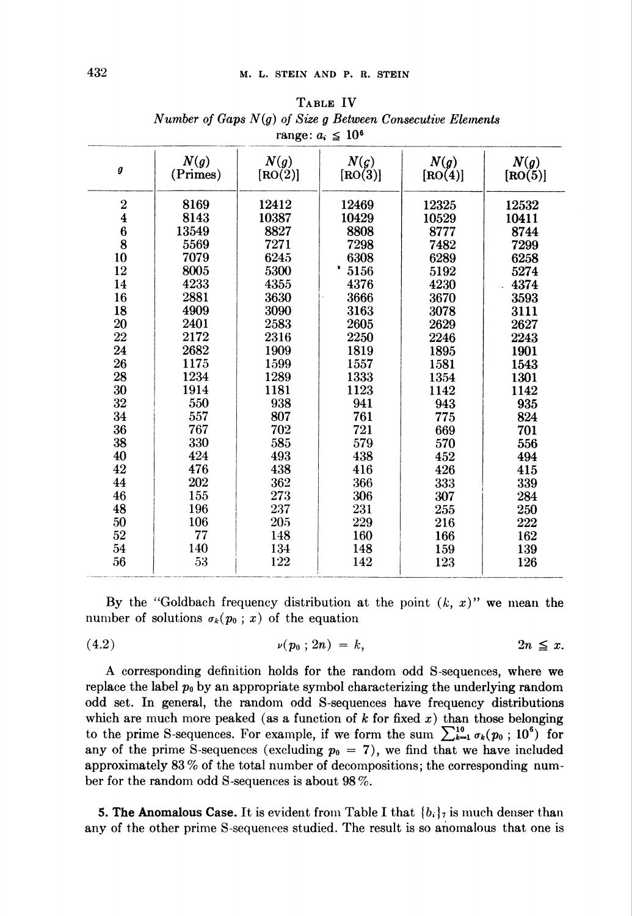| $i$ alige. $u_i \geq 10$ |                  |                 |                              |                 |                 |
|--------------------------|------------------|-----------------|------------------------------|-----------------|-----------------|
| g                        | N(g)<br>(Primes) | N(g)<br>[RO(2)] | $N(\mathfrak{g})$<br>[RO(3)] | N(g)<br>[RO(4)] | N(g)<br>[RO(5)] |
| $\bf{2}$                 | 8169             | 12412           | 12469                        | 12325           | 12532           |
| $\overline{\mathbf{4}}$  | 8143             | 10387           | 10429                        | 10529           | 10411           |
|                          | 13549            | 8827            | 8808                         | 8777            | 8744            |
| $\frac{6}{8}$            | 5569             | 7271            | 7298                         | 7482            | 7299            |
| 10                       | 7079             | 6245            | 6308                         | 6289            | 6258            |
| 12                       | 8005             | 5300            | 5156                         | 5192            | 5274            |
| 14                       | 4233             | 4355            | 4376                         | 4230            | 4374            |
| 16                       | 2881             | 3630            | 3666                         | 3670            | 3593            |
| 18                       | 4909             | 3090            | 3163                         | 3078            | 3111            |
| 20                       | 2401             | 2583            | 2605                         | 2629            | 2627            |
| 22                       | 2172             | 2316            | 2250                         | 2246            | 2243            |
| 24                       | 2682             | 1909            | 1819                         | 1895            | 1901            |
| 26                       | 1175             | 1599            | 1557                         | 1581            | 1543            |
| 28                       | 1234             | 1289            | 1333                         | 1354            | 1301            |
| 30                       | 1914             | 1181            | 1123                         | 1142            | 1142            |
| 32                       | 550              | 938             | 941                          | 943             | 935             |
| 34                       | 557              | 807             | 761                          | 775             | 824             |
| 36                       | 767              | 702             | 721                          | 669             | 701             |
| 38                       | 330              | 585             | 579                          | 570             | 556             |
| 40                       | 424              | 493             | 438                          | 452             | 494             |
| 42                       | 476              | 438             | 416                          | 426             | 415             |
| 44                       | 202              | 362             | 366                          | 333             | 339             |
| 46                       | 155              | 273             | 306                          | 307             | 284             |
| 48                       | 196              | 237             | 231                          | 255             | 250             |
| 50                       | 106              | 205             | 229                          | 216             | 222             |
| 52                       | 77               | 148             | 160                          | 166             | 162             |
| 54                       | 140              | 134             | 148                          | 159             | 139             |
| 56                       | 53               | 122             | 142                          | 123             | 126             |
|                          |                  |                 |                              |                 |                 |

Table IV Number of Gaps  $N(g)$  of Size g Between Consecutive Elements range:  $a \neq 106$ 

By the "Goldbach frequency distribution at the point  $(k, x)$ " we mean the number of solutions  $\sigma_k(p_0; x)$  of the equation

$$
v(p_0; 2n) = k, \qquad \qquad 2n \leq x.
$$

A corresponding definition holds for the random odd S-sequences, where we replace the label  $p_0$  by an appropriate symbol characterizing the underlying random odd set. In general, the random odd S-sequences have frequency distributions which are much more peaked (as a function of  $k$  for fixed  $x$ ) than those belonging to the prime S-sequences. For example, if we form the sum  $\sum_{k=1}^{10} \sigma_k(p_0 ; 10^6)$  for any of the prime S-sequences (excluding  $p_0 = 7$ ), we find that we have included approximately 83 % of the total number of decompositions; the corresponding number for the random odd S-sequences is about 98%.

**5. The Anomalous Case.** It is evident from Table I that  $\{b_i\}$  is much denser than any of the other prime S-sequences studied. The result is so anomalous that one is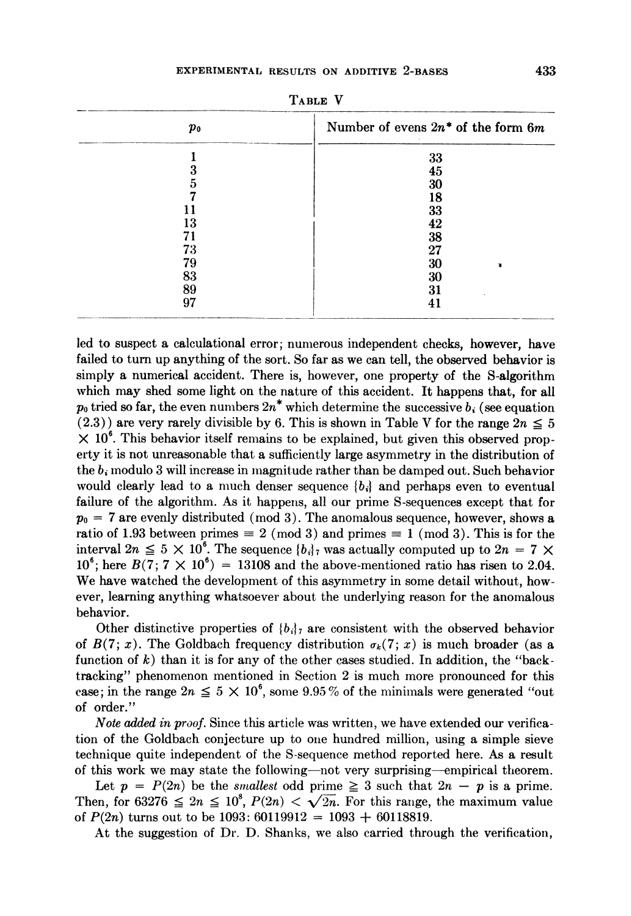|  | ິ<br>A<br>4.<br>٤ |
|--|-------------------|
|  |                   |

| Pо | Number of evens $2n^*$ of the form 6m |  |  |  |
|----|---------------------------------------|--|--|--|
|    | 33                                    |  |  |  |
|    | 45                                    |  |  |  |
|    | 30                                    |  |  |  |
|    | 18                                    |  |  |  |
|    | 33                                    |  |  |  |
| 13 | 42                                    |  |  |  |
| 71 | 38                                    |  |  |  |
| 73 | 27                                    |  |  |  |
| 79 | 30                                    |  |  |  |
| 83 | 30                                    |  |  |  |
| 89 | 31                                    |  |  |  |
| 97 |                                       |  |  |  |
|    |                                       |  |  |  |

Table V

led to suspect a calculational error; numerous independent checks, however, have failed to turn up anything of the sort. So far as we can tell, the observed behavior is simply a numerical accident. There is, however, one property of the S-algorithm which may shed some light on the nature of this accident. It happens that, for all  $p_0$  tried so far, the even numbers  $2n^*$  which determine the successive  $b_i$  (see equation  $(2.3)$  are very rarely divisible by 6. This is shown in Table V for the range  $2n \leq 5$  $\times$  10<sup>6</sup>. This behavior itself remains to be explained, but given this observed property it is not unreasonable that a sufficiently large asymmetry in the distribution of the  $b_i$  modulo 3 will increase in magnitude rather than be damped out. Such behavior would clearly lead to a much denser sequence  ${b_i}$  and perhaps even to eventual failure of the algorithm. As it happens, all our prime S-sequences except that for  $p_0 = 7$  are evenly distributed (mod 3). The anomalous sequence, however, shows a ratio of 1.93 between primes  $\equiv 2 \pmod{3}$  and primes  $\equiv 1 \pmod{3}$ . This is for the interval  $2n \leq 5 \times 10^6$ . The sequence  ${b_i}7$  was actually computed up to  $2n = 7 \times$  $10^6$ ; here  $B(7; 7 \times 10^6) = 13108$  and the above-mentioned ratio has risen to 2.04. We have watched the development of this asymmetry in some detail without, however, learning anything whatsoever about the underlying reason for the anomalous behavior.

Other distinctive properties of  ${b_i}_7$  are consistent with the observed behavior of  $B(7; x)$ . The Goldbach frequency distribution  $\sigma_k(7; x)$  is much broader (as a function of  $k$ ) than it is for any of the other cases studied. In addition, the "backtracking" phenomenon mentioned in Section 2 is much more pronounced for this case; in the range  $2n \leq 5 \times 10^6$ , some 9.95% of the minimals were generated "out of order."

Note added in proof. Since this article was written, we have extended our verification of the Goldbach conjecture up to one hundred million, using a simple sieve technique quite independent of the S-sequence method reported here. As a result of this work we may state the following—not very surprising—empirical theorem.

Let  $p = P(2n)$  be the *smallest* odd prime  $\geq 3$  such that  $2n - p$  is a prime. Then, for 63276  $\leq 2n \leq 10^8$ ,  $P(2n) < \sqrt{2n}$ . For this range, the maximum value of  $P(2n)$  turns out to be 1093: 60119912 = 1093 + 60118819.

At the suggestion of Dr. D. Shanks, we also carried through the verification,